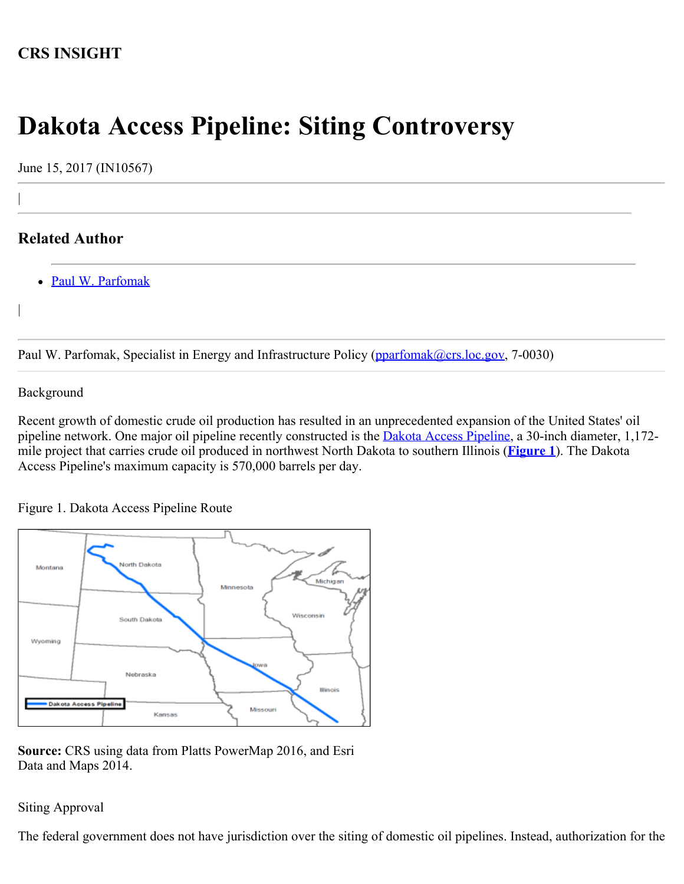## **CRS INSIGHT**

# **Dakota Access Pipeline: Siting Controversy**

June 15, 2017 (IN10567)

### **Related Author**

|

|

[Paul W. Parfomak](http://www.crs.gov/Author/index?id=77139)

Paul W. Parfomak, Specialist in Energy and Infrastructure Policy [\(pparfomak@crs.loc.gov,](mailto:pparfomak@crs.loc.gov) 7-0030)

#### Background

Recent growth of domestic crude oil production has resulted in an unprecedented expansion of the United States' oil pipeline network. One major oil pipeline recently constructed is the [Dakota Access Pipeline](http://www.daplpipelinefacts.com/), a 30-inch diameter, 1,172mile project that carries crude oil produced in northwest North Dakota to southern Illinois (**[Figure 1](http://www.crs.gov/Reports/IN10567?source=INLanding#_Ref461192961)**). The Dakota Access Pipeline's maximum capacity is 570,000 barrels per day.

Figure 1. Dakota Access Pipeline Route



**Source:** CRS using data from Platts PowerMap 2016, and Esri Data and Maps 2014.

#### Siting Approval

The federal government does not have jurisdiction over the siting of domestic oil pipelines. Instead, authorization for the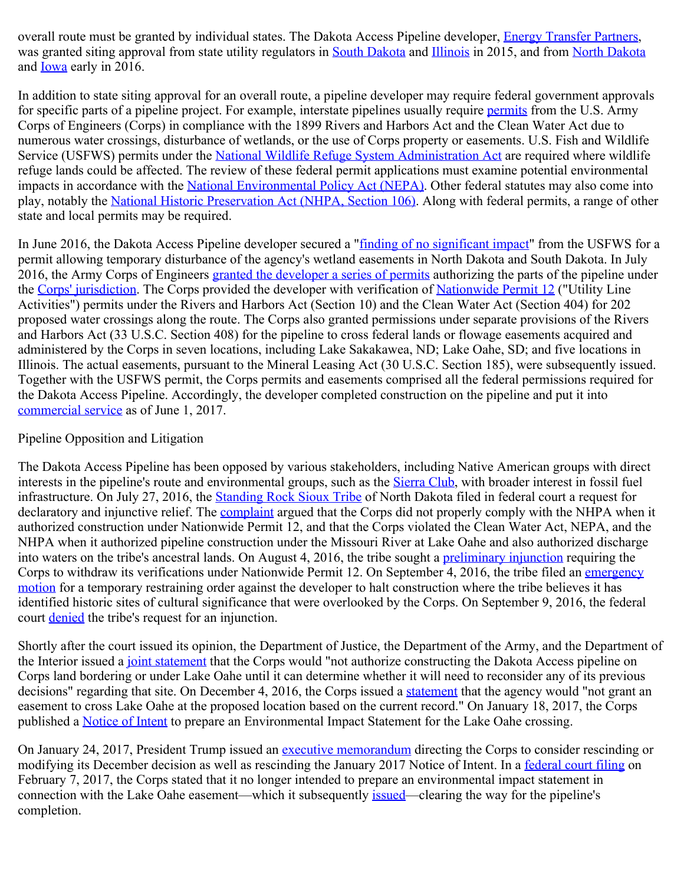overall route must be granted by individual states. The Dakota Access Pipeline developer, **Energy Transfer Partners**, was granted siting approval from state utility regulators in [South Dakota](https://puc.sd.gov/News/2015/11302015.aspx) and [Illinois](https://www.icc.illinois.gov/downloads/public/edocket/418833.PDF) in 2015, and from [North Dakota](http://www.psc.nd.gov/public/newsroom/2016/1-20-16DakotaAccessApproval.pdf) and **Iowa** early in 2016.

In addition to state siting approval for an overall route, a pipeline developer may require federal government approvals for specific parts of a pipeline project. For example, interstate pipelines usually require [permits](http://www.usace.army.mil/Portals/2/Regulatory_Program_Overview.pdf) from the U.S. Army Corps of Engineers (Corps) in compliance with the 1899 Rivers and Harbors Act and the Clean Water Act due to numerous water crossings, disturbance of wetlands, or the use of Corps property or easements. U.S. Fish and Wildlife Service (USFWS) permits under the [National Wildlife Refuge System Administration Act](https://www.fws.gov/refuges/policiesandbudget/16USCSec668dd.html) are required where wildlife refuge lands could be affected. The review of these federal permit applications must examine potential environmental impacts in accordance with the [National Environmental Policy Act \(NEPA\)](https://www.epa.gov/laws-regulations/summary-national-environmental-policy-act). Other federal statutes may also come into play, notably the [National Historic Preservation Act \(NHPA, Section 106\)](http://www.achp.gov/106summary.html). Along with federal permits, a range of other state and local permits may be required.

In June 2016, the Dakota Access Pipeline developer secured a ["finding of no significant impact](https://www.fws.gov/uploadedFiles/DAPL%20FONSI.pdf)" from the USFWS for a permit allowing temporary disturbance of the agency's wetland easements in North Dakota and South Dakota. In July 2016, the Army Corps of Engineers [granted the developer a series of permits](http://www.nwo.usace.army.mil/DesktopModules/ArticleCS/Print.aspx?PortalId=23&ModuleId=4555&Article=749823) authorizing the parts of the pipeline under the [Corps' jurisdiction](http://www.mvr.usace.army.mil/Portals/48/docs/CC/FactSheets/Dakota%20Access%20Pipeline%20-%20Iowa.pdf). The Corps provided the developer with verification of [Nationwide Permit 12](http://www.usace.army.mil/Portals/2/docs/civilworks/nwp/2012/NWP_12_2012.pdf) ("Utility Line Activities") permits under the Rivers and Harbors Act (Section 10) and the Clean Water Act (Section 404) for 202 proposed water crossings along the route. The Corps also granted permissions under separate provisions of the Rivers and Harbors Act (33 U.S.C. Section 408) for the pipeline to cross federal lands or flowage easements acquired and administered by the Corps in seven locations, including Lake Sakakawea, ND; Lake Oahe, SD; and five locations in Illinois. The actual easements, pursuant to the Mineral Leasing Act (30 U.S.C. Section 185), were subsequently issued. Together with the USFWS permit, the Corps permits and easements comprised all the federal permissions required for the Dakota Access Pipeline. Accordingly, the developer completed construction on the pipeline and put it into [commercial service](http://ir.energytransfer.com/phoenix.zhtml?c=106094&p=irol-newsArticle&ID=2278014) as of June 1, 2017.

#### Pipeline Opposition and Litigation

The Dakota Access Pipeline has been opposed by various stakeholders, including Native American groups with direct interests in the pipeline's route and environmental groups, such as the [Sierra Club](http://www.sierraclub.org/michael-brune/2016/08/dakota-access-pipeline), with broader interest in fossil fuel infrastructure. On July 27, 2016, the **Standing Rock Sioux Tribe** of North Dakota filed in federal court a request for declaratory and injunctive relief. The [complaint](http://earthjustice.org/sites/default/files/files/3154%201%20Complaint.pdf) argued that the Corps did not properly comply with the NHPA when it authorized construction under Nationwide Permit 12, and that the Corps violated the Clean Water Act, NEPA, and the NHPA when it authorized pipeline construction under the Missouri River at Lake Oahe and also authorized discharge into waters on the tribe's ancestral lands. On August 4, 2016, the tribe sought a [preliminary injunction](http://earthjustice.org/sites/default/files/files/Mtn-for-Preliminary-Injunction-and-Memo-in-Support.pdf) requiring the Corps to withdraw its verifications under Nationwide Permit 12. On September 4, 2016, the tribe filed an [emergency](http://earthjustice.org/sites/default/files/files/Motion-for-TRO-and-memo.pdf) [motion](http://earthjustice.org/sites/default/files/files/Motion-for-TRO-and-memo.pdf) for a temporary restraining order against the developer to halt construction where the tribe believes it has identified historic sites of cultural significance that were overlooked by the Corps. On September 9, 2016, the federal court [denied](https://ecf.dcd.uscourts.gov/cgi-bin/show_public_doc?2016cv1534-39) the tribe's request for an injunction.

Shortly after the court issued its opinion, the Department of Justice, the Department of the Army, and the Department of the Interior issued a *joint statement* that the Corps would "not authorize constructing the Dakota Access pipeline on Corps land bordering or under Lake Oahe until it can determine whether it will need to reconsider any of its previous decisions" regarding that site. On December 4, 2016, the Corps issued a [statement](https://www.army.mil/e2/c/downloads/459011.pdf) that the agency would "not grant an easement to cross Lake Oahe at the proposed location based on the current record." On January 18, 2017, the Corps published a [Notice of Intent](https://www.gpo.gov/fdsys/pkg/FR-2017-01-18/pdf/2017-00937.pdf) to prepare an Environmental Impact Statement for the Lake Oahe crossing.

On January 24, 2017, President Trump issued an [executive memorandum](https://www.whitehouse.gov/the-press-office/2017/01/24/presidential-memorandum-regarding-construction-dakota-access-pipeline) directing the Corps to consider rescinding or modifying its December decision as well as rescinding the January 2017 Notice of Intent. In a [federal court filing](https://assets.documentcloud.org/documents/3456285/2-7-17-Notice-DAPL.pdf) on February 7, 2017, the Corps stated that it no longer intended to prepare an environmental impact statement in connection with the Lake Oahe easement—which it subsequently [issued](http://ir.energytransfer.com/phoenix.zhtml?c=106094&p=irol-newsArticle&ID=2244585)—clearing the way for the pipeline's completion.